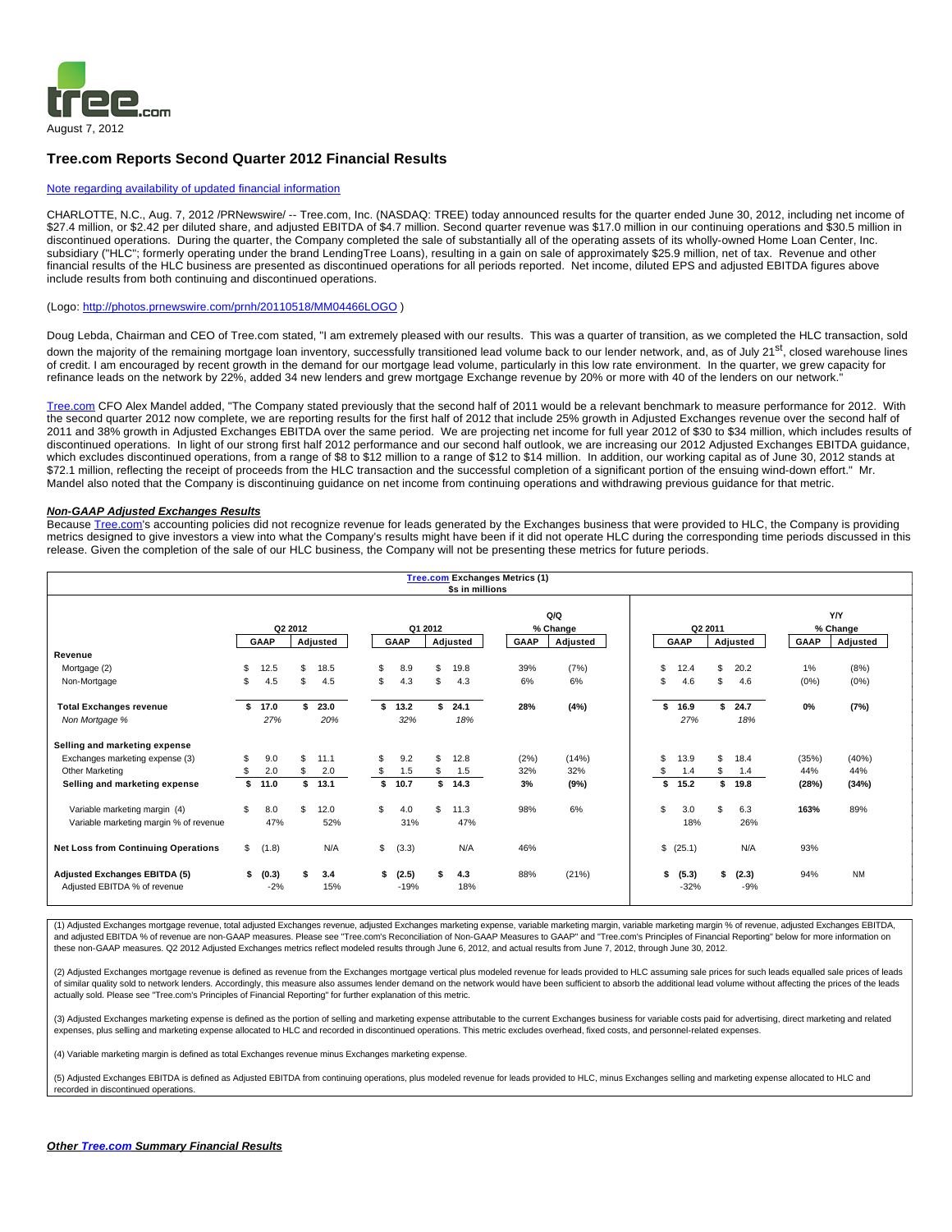

## **Tree.com Reports Second Quarter 2012 Financial Results**

## [Note regarding availability of updated financial information](http://investor-relations.tree.com/common/download/download.cfm?companyid=TREE&fileid=593559&filekey=723d6d48-8863-454e-be1a-6053c1421456&filename=Note_on_Press_Release.pdf)

CHARLOTTE, N.C., Aug. 7, 2012 /PRNewswire/ -- Tree.com, Inc. (NASDAQ: TREE) today announced results for the quarter ended June 30, 2012, including net income of \$27.4 million, or \$2.42 per diluted share, and adjusted EBITDA of \$4.7 million. Second quarter revenue was \$17.0 million in our continuing operations and \$30.5 million in discontinued operations. During the quarter, the Company completed the sale of substantially all of the operating assets of its wholly-owned Home Loan Center, Inc. subsidiary ("HLC"; formerly operating under the brand LendingTree Loans), resulting in a gain on sale of approximately \$25.9 million, net of tax. Revenue and other financial results of the HLC business are presented as discontinued operations for all periods reported. Net income, diluted EPS and adjusted EBITDA figures above include results from both continuing and discontinued operations.

### (Logo:<http://photos.prnewswire.com/prnh/20110518/MM04466LOGO>)

Doug Lebda, Chairman and CEO of Tree.com stated, "I am extremely pleased with our results. This was a quarter of transition, as we completed the HLC transaction, sold down the majority of the remaining mortgage loan inventory, successfully transitioned lead volume back to our lender network, and, as of July 21<sup>st</sup>, closed warehouse lines of credit. I am encouraged by recent growth in the demand for our mortgage lead volume, particularly in this low rate environment. In the quarter, we grew capacity for refinance leads on the network by 22%, added 34 new lenders and grew mortgage Exchange revenue by 20% or more with 40 of the lenders on our network.

[Tree.com](http://tree.com/) CFO Alex Mandel added, "The Company stated previously that the second half of 2011 would be a relevant benchmark to measure performance for 2012. With the second quarter 2012 now complete, we are reporting results for the first half of 2012 that include 25% growth in Adjusted Exchanges revenue over the second half of 2011 and 38% growth in Adjusted Exchanges EBITDA over the same period. We are projecting net income for full year 2012 of \$30 to \$34 million, which includes results of discontinued operations. In light of our strong first half 2012 performance and our second half outlook, we are increasing our 2012 Adjusted Exchanges EBITDA guidance, which excludes discontinued operations, from a range of \$8 to \$12 million to a range of \$12 to \$14 million. In addition, our working capital as of June 30, 2012 stands at \$72.1 million, reflecting the receipt of proceeds from the HLC transaction and the successful completion of a significant portion of the ensuing wind-down effort." Mr. Mandel also noted that the Company is discontinuing guidance on net income from continuing operations and withdrawing previous guidance for that metric.

#### **Non-GAAP Adjusted Exchanges Results**

Because [Tree.com](http://tree.com/)'s accounting policies did not recognize revenue for leads generated by the Exchanges business that were provided to HLC, the Company is providing metrics designed to give investors a view into what the Company's results might have been if it did not operate HLC during the corresponding time periods discussed in this release. Given the completion of the sale of our HLC business, the Company will not be presenting these metrics for future periods.

|                                                                      |     |                |         |            |              |                    |         | \$s in millions | <b>Tree.com Exchanges Metrics (1)</b> |                 |    |                 |         |                |       |                 |
|----------------------------------------------------------------------|-----|----------------|---------|------------|--------------|--------------------|---------|-----------------|---------------------------------------|-----------------|----|-----------------|---------|----------------|-------|-----------------|
|                                                                      |     |                | Q2 2012 |            |              |                    | Q1 2012 |                 |                                       | Q/Q<br>% Change |    |                 | Q2 2011 |                |       | Y/Y<br>% Change |
|                                                                      |     | GAAP           |         | Adjusted   |              | GAAP               |         | Adjusted        | GAAP                                  | Adjusted        |    | GAAP            |         | Adjusted       | GAAP  | Adjusted        |
| Revenue                                                              |     |                |         |            |              |                    |         |                 |                                       |                 |    |                 |         |                |       |                 |
| Mortgage (2)                                                         | S   | 12.5           | \$      | 18.5       | S            | 8.9                | \$.     | 19.8            | 39%                                   | (7%)            | \$ | 12.4            | \$      | 20.2           | 1%    | (8%)            |
| Non-Mortgage                                                         | \$. | 4.5            | \$      | 4.5        | S.           | 4.3                | \$.     | 4.3             | 6%                                    | 6%              | \$ | 4.6             | \$      | 4.6            | (0%)  | (0%)            |
| <b>Total Exchanges revenue</b>                                       | \$. | 17.0           | \$      | 23.0       | \$           | 13.2               | \$.     | 24.1            | 28%                                   | (4%)            | s  | 16.9            | s.      | 24.7           | $0\%$ | (7%)            |
| Non Mortgage %                                                       |     | 27%            |         | 20%        |              | 32%                |         | 18%             |                                       |                 |    | 27%             |         | 18%            |       |                 |
| Selling and marketing expense                                        |     |                |         |            |              |                    |         |                 |                                       |                 |    |                 |         |                |       |                 |
| Exchanges marketing expense (3)                                      | \$. | 9.0            | \$      | 11.1       | \$.          | 9.2                | \$.     | 12.8            | (2%)                                  | (14%)           | \$ | 13.9            | \$      | 18.4           | (35%) | (40%)           |
| Other Marketing                                                      | S   | 2.0            | \$.     | 2.0        | s.           | 1.5                | \$.     | 1.5             | 32%                                   | 32%             | S  | 1.4             | \$      | 1.4            | 44%   | 44%             |
| Selling and marketing expense                                        | \$  | 11.0           | \$      | 13.1       | s.           | 10.7               |         | \$14.3          | 3%                                    | (9%)            | s  | 15.2            | \$      | 19.8           | (28%) | (34%)           |
| Variable marketing margin (4)                                        | \$. | 8.0            | \$      | 12.0       | \$.          | 4.0                | \$.     | 11.3            | 98%                                   | 6%              | \$ | 3.0             | \$.     | 6.3            | 163%  | 89%             |
| Variable marketing margin % of revenue                               |     | 47%            |         | 52%        |              | 31%                |         | 47%             |                                       |                 |    | 18%             |         | 26%            |       |                 |
| <b>Net Loss from Continuing Operations</b>                           | \$  | (1.8)          |         | N/A        | $\mathbb{S}$ | (3.3)              |         | N/A             | 46%                                   |                 |    | \$ (25.1)       |         | N/A            | 93%   |                 |
| <b>Adjusted Exchanges EBITDA (5)</b><br>Adjusted EBITDA % of revenue | s.  | (0.3)<br>$-2%$ | \$      | 3.4<br>15% |              | \$ (2.5)<br>$-19%$ |         | 4.3<br>18%      | 88%                                   | (21%)           | S  | (5.3)<br>$-32%$ | \$      | (2.3)<br>$-9%$ | 94%   | <b>NM</b>       |

(1) Adjusted Exchanges mortgage revenue, total adjusted Exchanges revenue, adjusted Exchanges marketing expense, variable marketing margin, variable marketing margin % of revenue, adjusted Exchanges EBITDA, and adjusted EBITDA % of revenue are non-GAAP measures. Please see "Tree.com's Reconciliation of Non-GAAP Measures to GAAP" and "Tree.com's Principles of Financial Reporting" below for more information on these non-GAAP measures. Q2 2012 Adjusted Exchanges metrics reflect modeled results through June 6, 2012, and actual results from June 7, 2012, through June 30, 2012.

(2) Adjusted Exchanges mortgage revenue is defined as revenue from the Exchanges mortgage vertical plus modeled revenue for leads provided to HLC assuming sale prices for such leads equalled sale prices of leads of similar quality sold to network lenders. Accordingly, this measure also assumes lender demand on the network would have been sufficient to absorb the additional lead volume without affecting the prices of the leads actually sold. Please see "Tree.com's Principles of Financial Reporting" for further explanation of this metric.

(3) Adjusted Exchanges marketing expense is defined as the portion of selling and marketing expense attributable to the current Exchanges business for variable costs paid for advertising, direct marketing and related expenses, plus selling and marketing expense allocated to HLC and recorded in discontinued operations. This metric excludes overhead, fixed costs, and personnel-related expenses.

(4) Variable marketing margin is defined as total Exchanges revenue minus Exchanges marketing expense.

(5) Adjusted Exchanges EBITDA is defined as Adjusted EBITDA from continuing operations, plus modeled revenue for leads provided to HLC, minus Exchanges selling and marketing expense allocated to HLC and recorded in discontinued operations.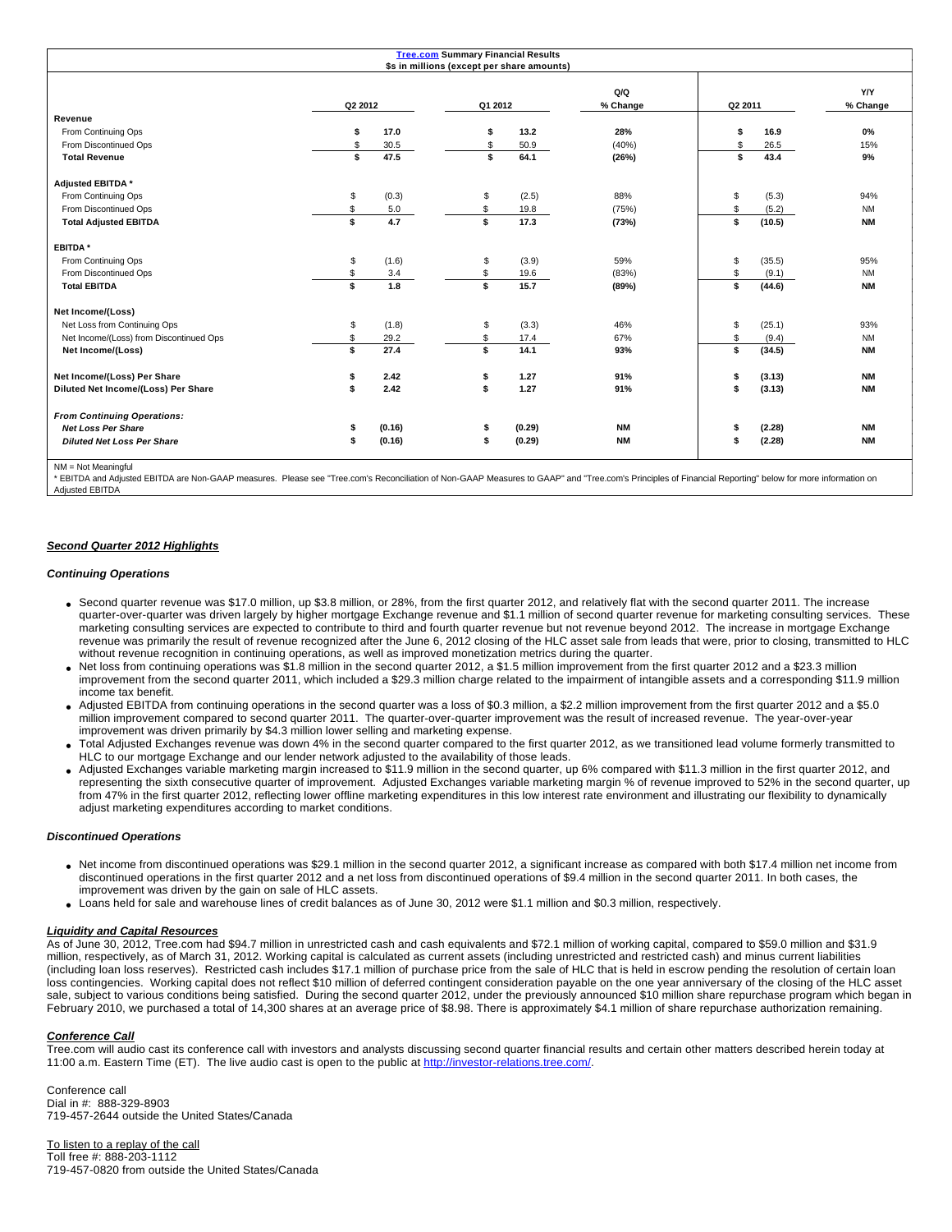|                                         |         |        | <b>Tree.com Summary Financial Results</b><br>\$s in millions (except per share amounts) |        |                 |         |        |                 |
|-----------------------------------------|---------|--------|-----------------------------------------------------------------------------------------|--------|-----------------|---------|--------|-----------------|
|                                         | Q2 2012 |        | Q1 2012                                                                                 |        | Q/Q<br>% Change | Q2 2011 |        | Y/Y<br>% Change |
| Revenue                                 |         |        |                                                                                         |        |                 |         |        |                 |
| From Continuing Ops                     | \$      | 17.0   | \$                                                                                      | 13.2   | 28%             | \$      | 16.9   | 0%              |
| From Discontinued Ops                   | \$      | 30.5   | \$                                                                                      | 50.9   | (40%)           | \$      | 26.5   | 15%             |
| <b>Total Revenue</b>                    | \$      | 47.5   | \$                                                                                      | 64.1   | (26%)           | \$      | 43.4   | 9%              |
| Adjusted EBITDA *                       |         |        |                                                                                         |        |                 |         |        |                 |
| From Continuing Ops                     | \$      | (0.3)  | \$                                                                                      | (2.5)  | 88%             | \$      | (5.3)  | 94%             |
| From Discontinued Ops                   | \$      | 5.0    |                                                                                         | 19.8   | (75%)           | \$      | (5.2)  | <b>NM</b>       |
| <b>Total Adjusted EBITDA</b>            | \$      | 4.7    | \$                                                                                      | 17.3   | (73%)           | \$      | (10.5) | <b>NM</b>       |
| <b>EBITDA*</b>                          |         |        |                                                                                         |        |                 |         |        |                 |
| From Continuing Ops                     | \$      | (1.6)  | \$                                                                                      | (3.9)  | 59%             | \$      | (35.5) | 95%             |
| From Discontinued Ops                   | \$      | 3.4    | S                                                                                       | 19.6   | (83%)           | \$      | (9.1)  | <b>NM</b>       |
| <b>Total EBITDA</b>                     | \$      | 1.8    | \$                                                                                      | 15.7   | (89%)           | \$      | (44.6) | <b>NM</b>       |
| Net Income/(Loss)                       |         |        |                                                                                         |        |                 |         |        |                 |
| Net Loss from Continuing Ops            | \$      | (1.8)  | \$                                                                                      | (3.3)  | 46%             | \$      | (25.1) | 93%             |
| Net Income/(Loss) from Discontinued Ops | \$      | 29.2   | S                                                                                       | 17.4   | 67%             | \$      | (9.4)  | <b>NM</b>       |
| Net Income/(Loss)                       | \$      | 27.4   | \$                                                                                      | 14.1   | 93%             | s       | (34.5) | <b>NM</b>       |
| Net Income/(Loss) Per Share             |         | 2.42   |                                                                                         | 1.27   | 91%             | \$      | (3.13) | <b>NM</b>       |
| Diluted Net Income/(Loss) Per Share     |         | 2.42   | \$                                                                                      | 1.27   | 91%             | \$      | (3.13) | <b>NM</b>       |
| <b>From Continuing Operations:</b>      |         |        |                                                                                         |        |                 |         |        |                 |
| <b>Net Loss Per Share</b>               | \$      | (0.16) | \$                                                                                      | (0.29) | <b>NM</b>       | \$      | (2.28) | <b>NM</b>       |
| <b>Diluted Net Loss Per Share</b>       |         | (0.16) | \$                                                                                      | (0.29) | <b>NM</b>       | \$      | (2.28) | <b>NM</b>       |
| MM Not Mooningful                       |         |        |                                                                                         |        |                 |         |        |                 |

NM = Not Meaningful

\* EBITDA and Adjusted EBITDA are Non-GAAP measures. Please see "Tree.com's Reconciliation of Non-GAAP Measures to GAAP" and "Tree.com's Principles of Financial Reporting" below for more information on Adjusted EBITDA

## **Second Quarter 2012 Highlights**

## **Continuing Operations**

- Second quarter revenue was \$17.0 million, up \$3.8 million, or 28%, from the first quarter 2012, and relatively flat with the second quarter 2011. The increase quarter-over-quarter was driven largely by higher mortgage Exchange revenue and \$1.1 million of second quarter revenue for marketing consulting services. These marketing consulting services are expected to contribute to third and fourth quarter revenue but not revenue beyond 2012. The increase in mortgage Exchange revenue was primarily the result of revenue recognized after the June 6, 2012 closing of the HLC asset sale from leads that were, prior to closing, transmitted to HLC without revenue recognition in continuing operations, as well as improved monetization metrics during the quarter.
- Net loss from continuing operations was \$1.8 million in the second quarter 2012, a \$1.5 million improvement from the first quarter 2012 and a \$23.3 million improvement from the second quarter 2011, which included a \$29.3 million charge related to the impairment of intangible assets and a corresponding \$11.9 million income tax benefit.
- Adjusted EBITDA from continuing operations in the second quarter was a loss of \$0.3 million, a \$2.2 million improvement from the first quarter 2012 and a \$5.0 million improvement compared to second quarter 2011. The quarter-over-quarter improvement was the result of increased revenue. The year-over-year improvement was driven primarily by \$4.3 million lower selling and marketing expense.
- Total Adjusted Exchanges revenue was down 4% in the second quarter compared to the first quarter 2012, as we transitioned lead volume formerly transmitted to HLC to our mortgage Exchange and our lender network adjusted to the availability of those leads.
- Adjusted Exchanges variable marketing margin increased to \$11.9 million in the second quarter, up 6% compared with \$11.3 million in the first quarter 2012, and representing the sixth consecutive quarter of improvement. Adjusted Exchanges variable marketing margin % of revenue improved to 52% in the second quarter, up from 47% in the first quarter 2012, reflecting lower offline marketing expenditures in this low interest rate environment and illustrating our flexibility to dynamically adjust marketing expenditures according to market conditions.

## **Discontinued Operations**

- Net income from discontinued operations was \$29.1 million in the second quarter 2012, a significant increase as compared with both \$17.4 million net income from discontinued operations in the first quarter 2012 and a net loss from discontinued operations of \$9.4 million in the second quarter 2011. In both cases, the improvement was driven by the gain on sale of HLC assets.
- Loans held for sale and warehouse lines of credit balances as of June 30, 2012 were \$1.1 million and \$0.3 million, respectively.

#### **Liquidity and Capital Resources**

As of June 30, 2012, Tree.com had \$94.7 million in unrestricted cash and cash equivalents and \$72.1 million of working capital, compared to \$59.0 million and \$31.9 million, respectively, as of March 31, 2012. Working capital is calculated as current assets (including unrestricted and restricted cash) and minus current liabilities (including loan loss reserves). Restricted cash includes \$17.1 million of purchase price from the sale of HLC that is held in escrow pending the resolution of certain loan loss contingencies. Working capital does not reflect \$10 million of deferred contingent consideration payable on the one year anniversary of the closing of the HLC asset sale, subject to various conditions being satisfied. During the second quarter 2012, under the previously announced \$10 million share repurchase program which began in February 2010, we purchased a total of 14,300 shares at an average price of \$8.98. There is approximately \$4.1 million of share repurchase authorization remaining.

#### **Conference Call**

Tree.com will audio cast its conference call with investors and analysts discussing second quarter financial results and certain other matters described herein today at 11:00 a.m. Eastern Time (ET). The live audio cast is open to the public at <http://investor-relations.tree.com/>.

Conference call Dial in #: 888-329-8903 719-457-2644 outside the United States/Canada

To listen to a replay of the call Toll free #: 888-203-1112 719-457-0820 from outside the United States/Canada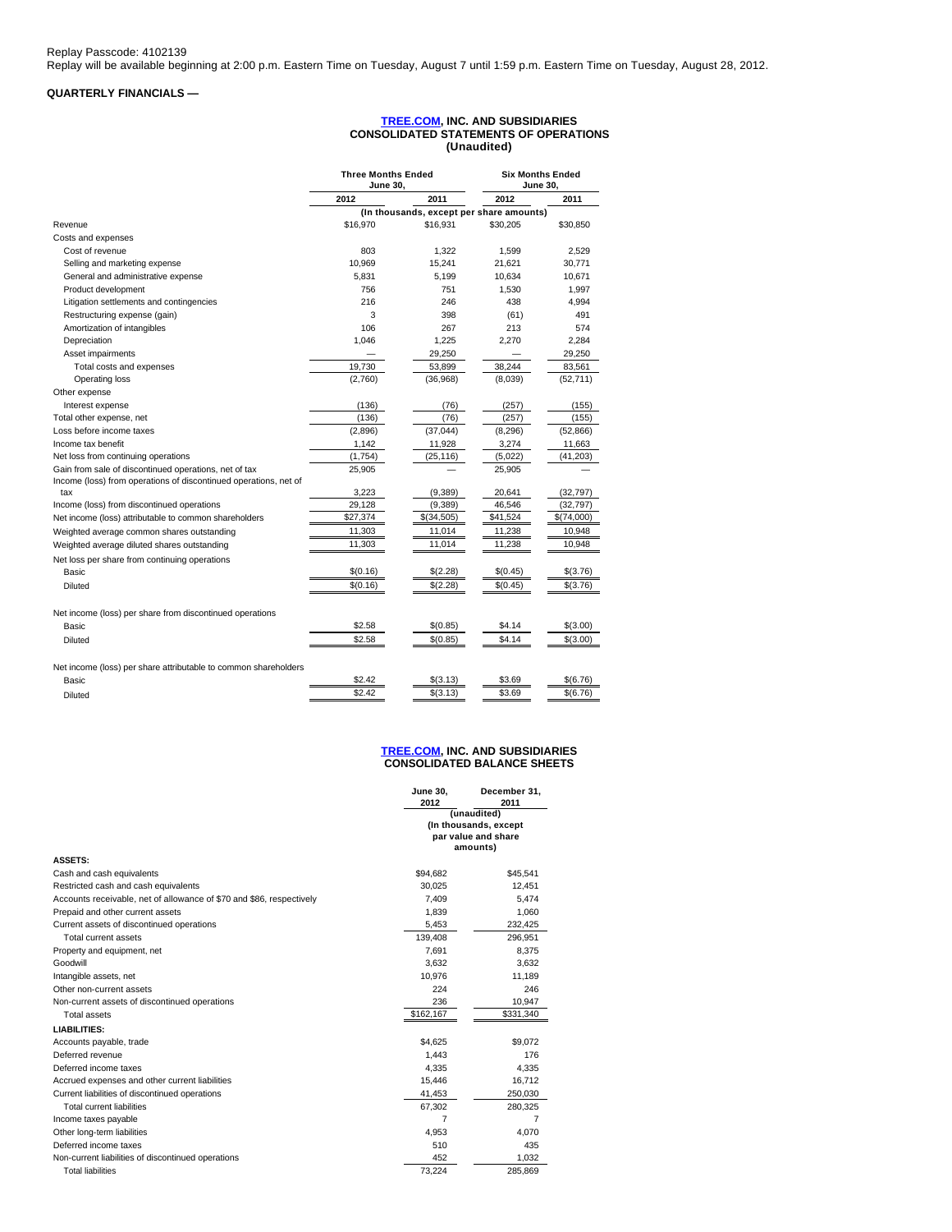# **QUARTERLY FINANCIALS —**

## **[TREE.COM,](http://tree.com/) INC. AND SUBSIDIARIES CONSOLIDATED STATEMENTS OF OPERATIONS (Unaudited)**

|                                                                  | <b>Three Months Ended</b><br>June 30. |                                          |          | <b>Six Months Ended</b><br><b>June 30.</b> |
|------------------------------------------------------------------|---------------------------------------|------------------------------------------|----------|--------------------------------------------|
|                                                                  | 2012                                  | 2011                                     | 2012     | 2011                                       |
|                                                                  |                                       | (In thousands, except per share amounts) |          |                                            |
| Revenue                                                          | \$16,970                              | \$16,931                                 | \$30,205 | \$30,850                                   |
| Costs and expenses                                               |                                       |                                          |          |                                            |
| Cost of revenue                                                  | 803                                   | 1,322                                    | 1.599    | 2.529                                      |
| Selling and marketing expense                                    | 10,969                                | 15,241                                   | 21,621   | 30,771                                     |
| General and administrative expense                               | 5.831                                 | 5.199                                    | 10.634   | 10,671                                     |
| Product development                                              | 756                                   | 751                                      | 1,530    | 1,997                                      |
| Litigation settlements and contingencies                         | 216                                   | 246                                      | 438      | 4,994                                      |
| Restructuring expense (gain)                                     | 3                                     | 398                                      | (61)     | 491                                        |
| Amortization of intangibles                                      | 106                                   | 267                                      | 213      | 574                                        |
| Depreciation                                                     | 1.046                                 | 1,225                                    | 2.270    | 2,284                                      |
| Asset impairments                                                |                                       | 29,250                                   |          | 29,250                                     |
| Total costs and expenses                                         | 19.730                                | 53,899                                   | 38.244   | 83,561                                     |
| Operating loss                                                   | (2,760)                               | (36,968)                                 | (8,039)  | (52, 711)                                  |
| Other expense                                                    |                                       |                                          |          |                                            |
| Interest expense                                                 | (136)                                 | (76)                                     | (257)    | (155)                                      |
| Total other expense, net                                         | (136)                                 | (76)                                     | (257)    | (155)                                      |
| Loss before income taxes                                         | (2,896)                               | (37, 044)                                | (8, 296) | (52, 866)                                  |
| Income tax benefit                                               | 1,142                                 | 11,928                                   | 3,274    | 11,663                                     |
| Net loss from continuing operations                              | (1,754)                               | (25, 116)                                | (5,022)  | (41, 203)                                  |
| Gain from sale of discontinued operations, net of tax            | 25,905                                |                                          | 25,905   |                                            |
| Income (loss) from operations of discontinued operations, net of |                                       |                                          |          |                                            |
| tax                                                              | 3,223                                 | (9,389)                                  | 20,641   | (32, 797)                                  |
| Income (loss) from discontinued operations                       | 29,128                                | (9,389)                                  | 46,546   | (32, 797)                                  |
| Net income (loss) attributable to common shareholders            | \$27,374                              | \$(34,505)                               | \$41,524 | \$(74,000)                                 |
| Weighted average common shares outstanding                       | 11,303                                | 11,014                                   | 11,238   | 10,948                                     |
| Weighted average diluted shares outstanding                      | 11,303                                | 11,014                                   | 11.238   | 10,948                                     |
| Net loss per share from continuing operations                    |                                       |                                          |          |                                            |
| Basic                                                            | \$(0.16)                              | \$(2.28)                                 | \$(0.45) | \$(3.76)                                   |
| Diluted                                                          | \$(0.16)                              | \$(2.28)                                 | \$(0.45) | \$(3.76)                                   |
| Net income (loss) per share from discontinued operations         |                                       |                                          |          |                                            |
| Basic                                                            | \$2.58                                | \$(0.85)                                 | \$4.14   | \$(3.00)                                   |
| <b>Diluted</b>                                                   | \$2.58                                | \$(0.85)                                 | \$4.14   | \$(3.00)                                   |
| Net income (loss) per share attributable to common shareholders  |                                       |                                          |          |                                            |
| Basic                                                            | \$2.42                                | \$(3.13)                                 | \$3.69   | \$(6.76)                                   |
| Diluted                                                          | \$2.42                                | \$(3.13)                                 | \$3.69   | \$(6.76)                                   |

#### **[TREE.COM,](http://tree.com/) INC. AND SUBSIDIARIES CONSOLIDATED BALANCE SHEETS**

**December 31, 2011**

**June 30, 2012**

| <b>ASSETS:</b>                                                       |           | (unaudited)<br>(In thousands, except<br>par value and share<br>amounts) |  |
|----------------------------------------------------------------------|-----------|-------------------------------------------------------------------------|--|
| Cash and cash equivalents                                            | \$94.682  | \$45.541                                                                |  |
| Restricted cash and cash equivalents                                 | 30.025    | 12.451                                                                  |  |
| Accounts receivable, net of allowance of \$70 and \$86, respectively | 7,409     | 5,474                                                                   |  |
| Prepaid and other current assets                                     | 1.839     | 1.060                                                                   |  |
| Current assets of discontinued operations                            | 5,453     | 232,425                                                                 |  |
| Total current assets                                                 | 139.408   | 296,951                                                                 |  |
| Property and equipment, net                                          | 7.691     | 8.375                                                                   |  |
| Goodwill                                                             | 3.632     | 3.632                                                                   |  |
| Intangible assets, net                                               | 10,976    | 11,189                                                                  |  |
| Other non-current assets                                             | 224       | 246                                                                     |  |
| Non-current assets of discontinued operations                        | 236       | 10.947                                                                  |  |
| Total assets                                                         | \$162,167 | \$331,340                                                               |  |
| LIABILITIES:                                                         |           |                                                                         |  |
| Accounts payable, trade                                              | \$4,625   | \$9,072                                                                 |  |
| Deferred revenue                                                     | 1.443     | 176                                                                     |  |
| Deferred income taxes                                                | 4,335     | 4,335                                                                   |  |
| Accrued expenses and other current liabilities                       | 15,446    | 16,712                                                                  |  |
| Current liabilities of discontinued operations                       | 41.453    | 250,030                                                                 |  |
| Total current liabilities                                            | 67,302    | 280,325                                                                 |  |
| Income taxes payable                                                 | 7         | $\overline{7}$                                                          |  |
| Other long-term liabilities                                          | 4.953     | 4.070                                                                   |  |
| Deferred income taxes                                                | 510       | 435                                                                     |  |
| Non-current liabilities of discontinued operations                   | 452       | 1,032                                                                   |  |
| <b>Total liabilities</b>                                             | 73,224    | 285,869                                                                 |  |
|                                                                      |           |                                                                         |  |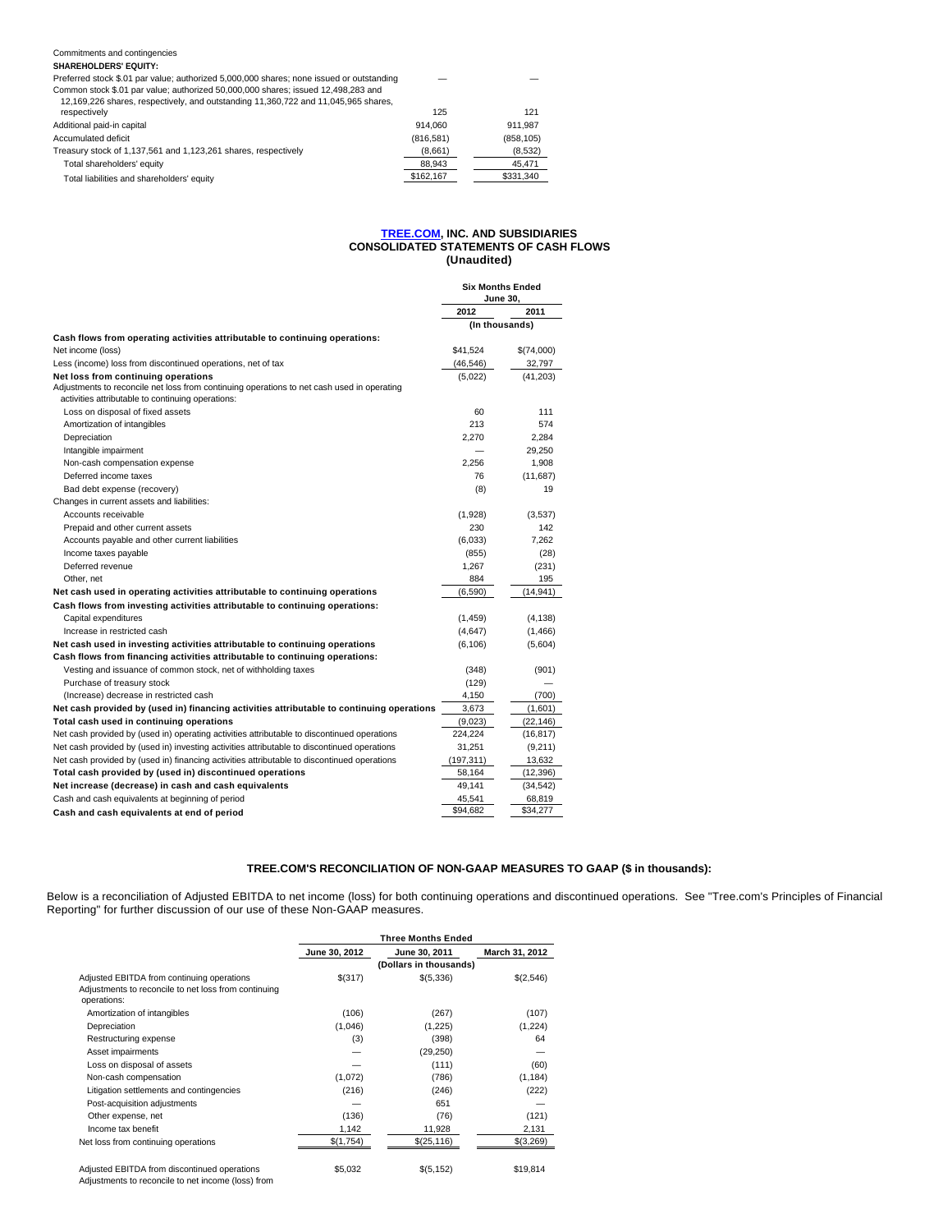#### Commitments and contingencies **SHAREHOLDERS' EQUITY:**

| Preferred stock \$.01 par value; authorized 5,000,000 shares; none issued or outstanding                                                                                |           | -          |
|-------------------------------------------------------------------------------------------------------------------------------------------------------------------------|-----------|------------|
| Common stock \$.01 par value; authorized 50,000,000 shares; issued 12,498,283 and<br>12,169,226 shares, respectively, and outstanding 11,360,722 and 11,045,965 shares, |           |            |
| respectively                                                                                                                                                            | 125       | 121        |
| Additional paid-in capital                                                                                                                                              | 914.060   | 911.987    |
| Accumulated deficit                                                                                                                                                     | (816.581) | (858, 105) |

|                                                                | 10101011  | 100011001 |
|----------------------------------------------------------------|-----------|-----------|
| Treasury stock of 1,137,561 and 1,123,261 shares, respectively | (8,661)   | (8,532)   |
| Total shareholders' equity                                     | 88.943    | 45.471    |
| Total liabilities and shareholders' equity                     | \$162.167 | \$331.340 |
|                                                                |           |           |

#### **[TREE.COM,](http://tree.com/) INC. AND SUBSIDIARIES CONSOLIDATED STATEMENTS OF CASH FLOWS (Unaudited)**

|                                                                                                                                                 | Six Months Ended<br><b>June 30.</b> |                |
|-------------------------------------------------------------------------------------------------------------------------------------------------|-------------------------------------|----------------|
|                                                                                                                                                 | 2012                                | 2011           |
|                                                                                                                                                 |                                     | (In thousands) |
| Cash flows from operating activities attributable to continuing operations:                                                                     |                                     |                |
| Net income (loss)                                                                                                                               | \$41,524                            | \$(74,000)     |
| Less (income) loss from discontinued operations, net of tax                                                                                     | (46, 546)                           | 32,797         |
| Net loss from continuing operations                                                                                                             | (5,022)                             | (41, 203)      |
| Adjustments to reconcile net loss from continuing operations to net cash used in operating<br>activities attributable to continuing operations: |                                     |                |
| Loss on disposal of fixed assets                                                                                                                | 60                                  | 111            |
| Amortization of intangibles                                                                                                                     | 213                                 | 574            |
| Depreciation                                                                                                                                    | 2.270                               | 2,284          |
| Intangible impairment                                                                                                                           |                                     | 29,250         |
| Non-cash compensation expense                                                                                                                   | 2.256                               | 1,908          |
| Deferred income taxes                                                                                                                           | 76                                  | (11,687)       |
| Bad debt expense (recovery)                                                                                                                     | (8)                                 | 19             |
| Changes in current assets and liabilities:                                                                                                      |                                     |                |
| Accounts receivable                                                                                                                             | (1,928)                             | (3,537)        |
| Prepaid and other current assets                                                                                                                | 230                                 | 142            |
| Accounts payable and other current liabilities                                                                                                  | (6,033)                             | 7.262          |
| Income taxes payable                                                                                                                            | (855)                               | (28)           |
| Deferred revenue                                                                                                                                | 1,267                               | (231)          |
| Other, net                                                                                                                                      | 884                                 | 195            |
| Net cash used in operating activities attributable to continuing operations                                                                     | (6,590)                             | (14, 941)      |
| Cash flows from investing activities attributable to continuing operations:                                                                     |                                     |                |
| Capital expenditures                                                                                                                            | (1,459)                             | (4, 138)       |
| Increase in restricted cash                                                                                                                     | (4,647)                             | (1, 466)       |
| Net cash used in investing activities attributable to continuing operations                                                                     | (6, 106)                            | (5,604)        |
| Cash flows from financing activities attributable to continuing operations:                                                                     |                                     |                |
| Vesting and issuance of common stock, net of withholding taxes                                                                                  | (348)                               | (901)          |
| Purchase of treasury stock                                                                                                                      | (129)                               |                |
| (Increase) decrease in restricted cash                                                                                                          | 4.150                               | (700)          |
| Net cash provided by (used in) financing activities attributable to continuing operations                                                       | 3.673                               | (1,601)        |
| Total cash used in continuing operations                                                                                                        | (9,023)                             | (22, 146)      |
| Net cash provided by (used in) operating activities attributable to discontinued operations                                                     | 224,224                             | (16, 817)      |
| Net cash provided by (used in) investing activities attributable to discontinued operations                                                     | 31.251                              | (9,211)        |
| Net cash provided by (used in) financing activities attributable to discontinued operations                                                     | (197, 311)                          | 13,632         |
| Total cash provided by (used in) discontinued operations                                                                                        | 58,164                              | (12, 396)      |
| Net increase (decrease) in cash and cash equivalents                                                                                            | 49.141                              | (34, 542)      |
| Cash and cash equivalents at beginning of period                                                                                                | 45,541                              | 68,819         |
| Cash and cash equivalents at end of period                                                                                                      | \$94,682                            | \$34,277       |

# **TREE.COM'S RECONCILIATION OF NON-GAAP MEASURES TO GAAP (\$ in thousands):**

Below is a reconciliation of Adjusted EBITDA to net income (loss) for both continuing operations and discontinued operations. See "Tree.com's Principles of Financial Reporting" for further discussion of our use of these Non-GAAP measures.

|                                                      | <b>Three Months Ended</b> |                        |                |  |  |
|------------------------------------------------------|---------------------------|------------------------|----------------|--|--|
|                                                      | June 30, 2012             | June 30, 2011          | March 31, 2012 |  |  |
|                                                      |                           | (Dollars in thousands) |                |  |  |
| Adjusted EBITDA from continuing operations           | \$(317)                   | \$(5,336)              | \$(2,546)      |  |  |
| Adjustments to reconcile to net loss from continuing |                           |                        |                |  |  |
| operations:                                          |                           |                        |                |  |  |
| Amortization of intangibles                          | (106)                     | (267)                  | (107)          |  |  |
| Depreciation                                         | (1,046)                   | (1,225)                | (1,224)        |  |  |
| Restructuring expense                                | (3)                       | (398)                  | 64             |  |  |
| Asset impairments                                    |                           | (29, 250)              |                |  |  |
| Loss on disposal of assets                           |                           | (111)                  | (60)           |  |  |
| Non-cash compensation                                | (1,072)                   | (786)                  | (1, 184)       |  |  |
| Litigation settlements and contingencies             | (216)                     | (246)                  | (222)          |  |  |
| Post-acquisition adjustments                         |                           | 651                    |                |  |  |
| Other expense, net                                   | (136)                     | (76)                   | (121)          |  |  |
| Income tax benefit                                   | 1,142                     | 11,928                 | 2,131          |  |  |
| Net loss from continuing operations                  | \$(1,754)                 | \$(25, 116)            | \$(3,269)      |  |  |
| Adjusted EBITDA from discontinued operations         | \$5,032                   | \$(5, 152)             | \$19,814       |  |  |

Adjustments to reconcile to net income (loss) from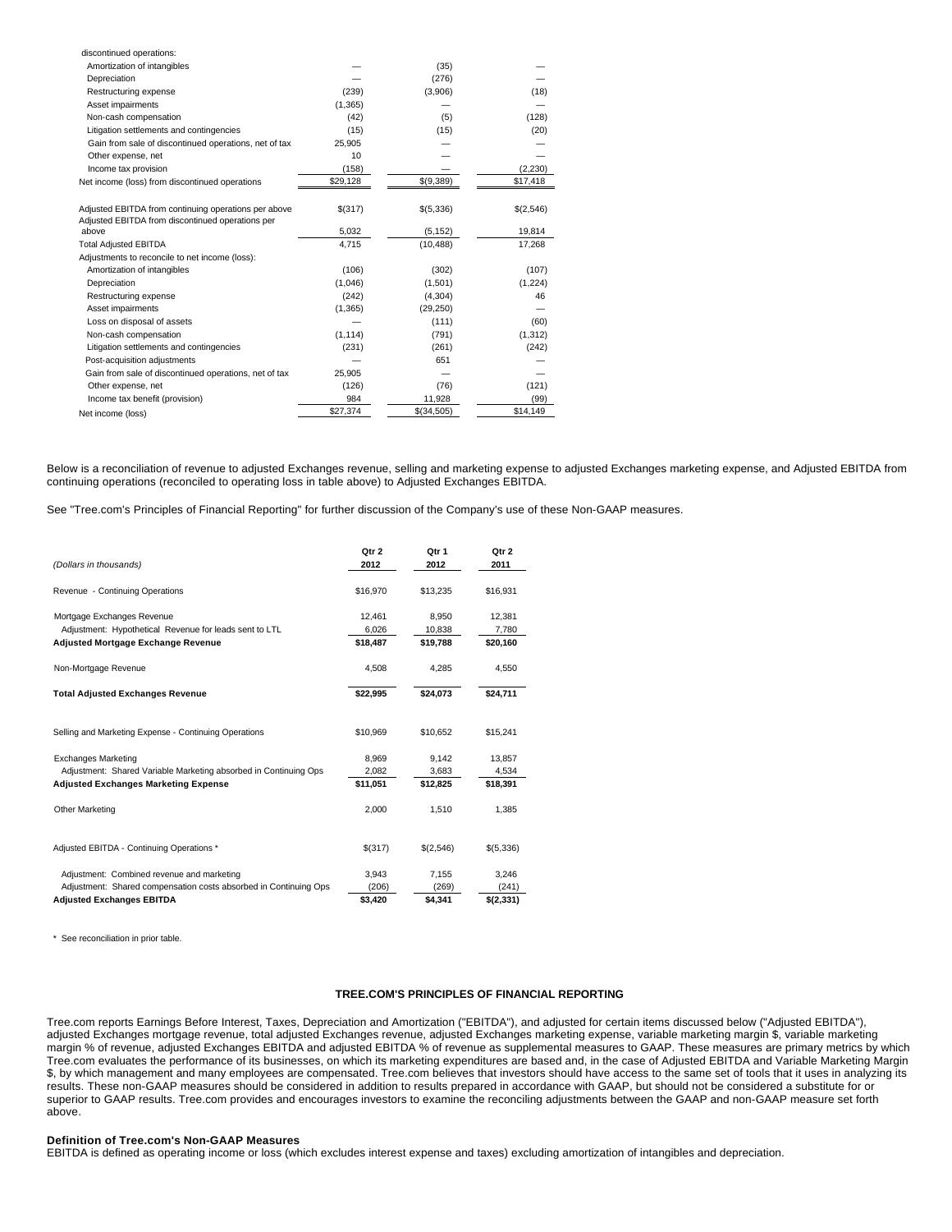| discontinued operations:                              |          |            |           |
|-------------------------------------------------------|----------|------------|-----------|
| Amortization of intangibles                           |          | (35)       |           |
| Depreciation                                          |          | (276)      |           |
| Restructuring expense                                 | (239)    | (3,906)    | (18)      |
| Asset impairments                                     | (1, 365) |            |           |
| Non-cash compensation                                 | (42)     | (5)        | (128)     |
| Litigation settlements and contingencies              | (15)     | (15)       | (20)      |
| Gain from sale of discontinued operations, net of tax | 25,905   |            |           |
| Other expense, net                                    | 10       |            |           |
| Income tax provision                                  | (158)    |            | (2, 230)  |
| Net income (loss) from discontinued operations        | \$29,128 | \$(9,389)  | \$17,418  |
|                                                       |          |            |           |
| Adjusted EBITDA from continuing operations per above  | \$(317)  | \$(5,336)  | \$(2,546) |
| Adjusted EBITDA from discontinued operations per      |          |            |           |
| above                                                 | 5,032    | (5, 152)   | 19,814    |
| <b>Total Adjusted EBITDA</b>                          | 4.715    | (10, 488)  | 17,268    |
| Adjustments to reconcile to net income (loss):        |          |            |           |
| Amortization of intangibles                           | (106)    | (302)      | (107)     |
| Depreciation                                          | (1,046)  | (1,501)    | (1, 224)  |
| Restructuring expense                                 | (242)    | (4, 304)   | 46        |
| Asset impairments                                     | (1, 365) | (29, 250)  |           |
| Loss on disposal of assets                            |          | (111)      | (60)      |
| Non-cash compensation                                 | (1, 114) | (791)      | (1, 312)  |
| Litigation settlements and contingencies              | (231)    | (261)      | (242)     |
| Post-acquisition adjustments                          |          | 651        |           |
| Gain from sale of discontinued operations, net of tax | 25,905   |            |           |
| Other expense, net                                    | (126)    | (76)       | (121)     |
| Income tax benefit (provision)                        | 984      | 11,928     | (99)      |
| Net income (loss)                                     | \$27,374 | \$(34,505) | \$14,149  |

Below is a reconciliation of revenue to adjusted Exchanges revenue, selling and marketing expense to adjusted Exchanges marketing expense, and Adjusted EBITDA from continuing operations (reconciled to operating loss in table above) to Adjusted Exchanges EBITDA.

See "Tree.com's Principles of Financial Reporting" for further discussion of the Company's use of these Non-GAAP measures.

| (Dollars in thousands)                                           | Qtr 2<br>2012 | Qtr 1<br>2012 | Qtr 2<br>2011 |
|------------------------------------------------------------------|---------------|---------------|---------------|
| Revenue - Continuing Operations                                  | \$16,970      | \$13,235      | \$16,931      |
| Mortgage Exchanges Revenue                                       | 12,461        | 8,950         | 12,381        |
| Adjustment: Hypothetical Revenue for leads sent to LTL           | 6,026         | 10,838        | 7,780         |
| <b>Adjusted Mortgage Exchange Revenue</b>                        | \$18,487      | \$19,788      | \$20,160      |
| Non-Mortgage Revenue                                             | 4,508         | 4.285         | 4,550         |
| <b>Total Adjusted Exchanges Revenue</b>                          | \$22,995      | \$24,073      | \$24,711      |
| Selling and Marketing Expense - Continuing Operations            | \$10,969      | \$10,652      | \$15,241      |
| <b>Exchanges Marketing</b>                                       | 8.969         | 9.142         | 13,857        |
| Adjustment: Shared Variable Marketing absorbed in Continuing Ops | 2,082         | 3,683         | 4,534         |
| <b>Adjusted Exchanges Marketing Expense</b>                      | \$11,051      | \$12,825      | \$18,391      |
| Other Marketing                                                  | 2,000         | 1.510         | 1,385         |
| Adjusted EBITDA - Continuing Operations *                        | \$(317)       | \$(2,546)     | \$(5,336)     |
| Adjustment: Combined revenue and marketing                       | 3,943         | 7,155         | 3,246         |
| Adjustment: Shared compensation costs absorbed in Continuing Ops | (206)         | (269)         | (241)         |
| <b>Adiusted Exchanges EBITDA</b>                                 | \$3.420       | \$4.341       | \$(2,331)     |

\* See reconciliation in prior table.

## **TREE.COM'S PRINCIPLES OF FINANCIAL REPORTING**

Tree.com reports Earnings Before Interest, Taxes, Depreciation and Amortization ("EBITDA"), and adjusted for certain items discussed below ("Adjusted EBITDA"), adjusted Exchanges mortgage revenue, total adjusted Exchanges revenue, adjusted Exchanges marketing expense, variable marketing margin \$, variable marketing margin % of revenue, adjusted Exchanges EBITDA and adjusted EBITDA % of revenue as supplemental measures to GAAP. These measures are primary metrics by which Tree.com evaluates the performance of its businesses, on which its marketing expenditures are based and, in the case of Adjusted EBITDA and Variable Marketing Margin \$, by which management and many employees are compensated. Tree.com believes that investors should have access to the same set of tools that it uses in analyzing its results. These non-GAAP measures should be considered in addition to results prepared in accordance with GAAP, but should not be considered a substitute for or superior to GAAP results. Tree.com provides and encourages investors to examine the reconciling adjustments between the GAAP and non-GAAP measure set forth above.

#### **Definition of Tree.com's Non-GAAP Measures**

EBITDA is defined as operating income or loss (which excludes interest expense and taxes) excluding amortization of intangibles and depreciation.